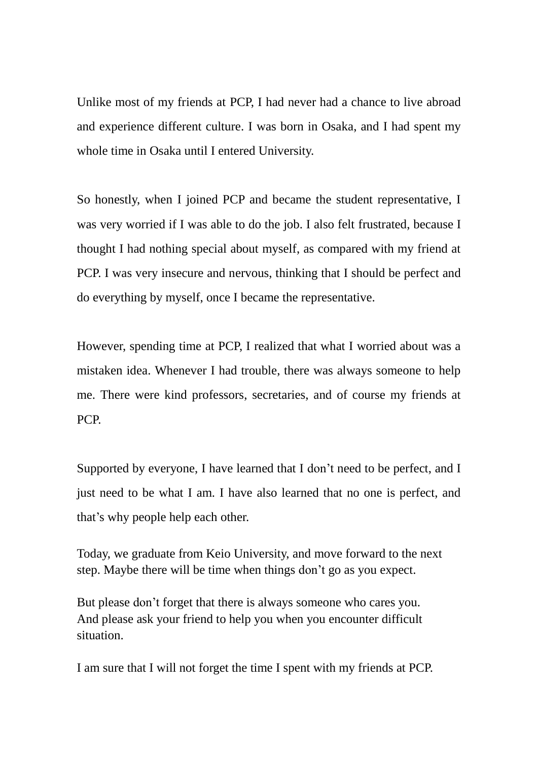Unlike most of my friends at PCP, I had never had a chance to live abroad and experience different culture. I was born in Osaka, and I had spent my whole time in Osaka until I entered University.

So honestly, when I joined PCP and became the student representative, I was very worried if I was able to do the job. I also felt frustrated, because I thought I had nothing special about myself, as compared with my friend at PCP. I was very insecure and nervous, thinking that I should be perfect and do everything by myself, once I became the representative.

However, spending time at PCP, I realized that what I worried about was a mistaken idea. Whenever I had trouble, there was always someone to help me. There were kind professors, secretaries, and of course my friends at PCP.

Supported by everyone, I have learned that I don't need to be perfect, and I just need to be what I am. I have also learned that no one is perfect, and that's why people help each other.

Today, we graduate from Keio University, and move forward to the next step. Maybe there will be time when things don't go as you expect.

But please don't forget that there is always someone who cares you. And please ask your friend to help you when you encounter difficult situation.

I am sure that I will not forget the time I spent with my friends at PCP.